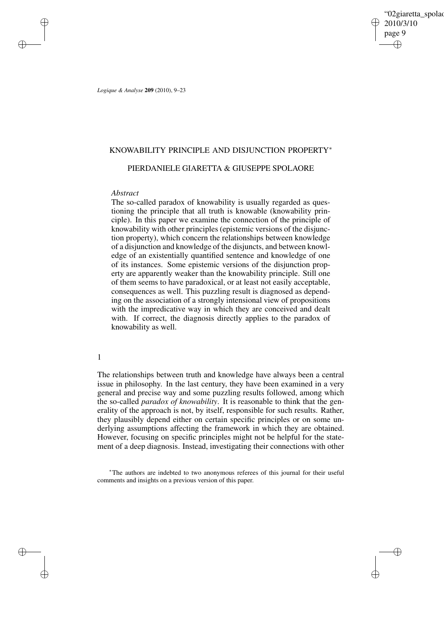'02giaretta spolao 2010/3/10 page 9 ✐ ✐

✐

✐

*Logique & Analyse* **209** (2010), 9–23

✐

✐

✐

✐

# KNOWABILITY PRINCIPLE AND DISJUNCTION PROPERTY<sup>∗</sup>

# PIERDANIELE GIARETTA & GIUSEPPE SPOLAORE

### *Abstract*

The so-called paradox of knowability is usually regarded as questioning the principle that all truth is knowable (knowability principle). In this paper we examine the connection of the principle of knowability with other principles (epistemic versions of the disjunction property), which concern the relationships between knowledge of a disjunction and knowledge of the disjuncts, and between knowledge of an existentially quantified sentence and knowledge of one of its instances. Some epistemic versions of the disjunction property are apparently weaker than the knowability principle. Still one of them seems to have paradoxical, or at least not easily acceptable, consequences as well. This puzzling result is diagnosed as depending on the association of a strongly intensional view of propositions with the impredicative way in which they are conceived and dealt with. If correct, the diagnosis directly applies to the paradox of knowability as well.

1

The relationships between truth and knowledge have always been a central issue in philosophy. In the last century, they have been examined in a very general and precise way and some puzzling results followed, among which the so-called *paradox of knowability*. It is reasonable to think that the generality of the approach is not, by itself, responsible for such results. Rather, they plausibly depend either on certain specific principles or on some underlying assumptions affecting the framework in which they are obtained. However, focusing on specific principles might not be helpful for the statement of a deep diagnosis. Instead, investigating their connections with other

<sup>∗</sup>The authors are indebted to two anonymous referees of this journal for their useful comments and insights on a previous version of this paper.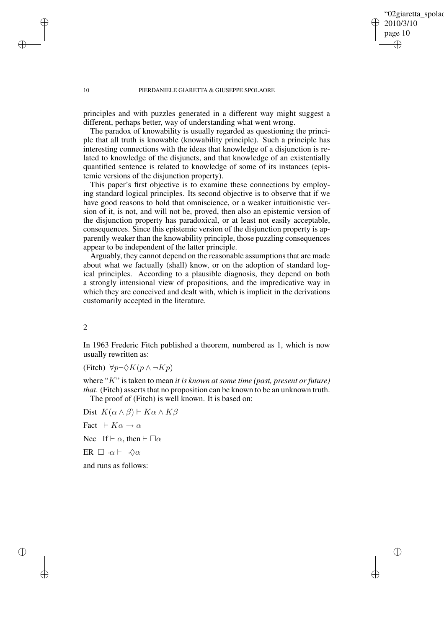✐

#### 10 PIERDANIELE GIARETTA & GIUSEPPE SPOLAORE

principles and with puzzles generated in a different way might suggest a different, perhaps better, way of understanding what went wrong.

The paradox of knowability is usually regarded as questioning the principle that all truth is knowable (knowability principle). Such a principle has interesting connections with the ideas that knowledge of a disjunction is related to knowledge of the disjuncts, and that knowledge of an existentially quantified sentence is related to knowledge of some of its instances (epistemic versions of the disjunction property).

This paper's first objective is to examine these connections by employing standard logical principles. Its second objective is to observe that if we have good reasons to hold that omniscience, or a weaker intuitionistic version of it, is not, and will not be, proved, then also an epistemic version of the disjunction property has paradoxical, or at least not easily acceptable, consequences. Since this epistemic version of the disjunction property is apparently weaker than the knowability principle, those puzzling consequences appear to be independent of the latter principle.

Arguably, they cannot depend on the reasonable assumptions that are made about what we factually (shall) know, or on the adoption of standard logical principles. According to a plausible diagnosis, they depend on both a strongly intensional view of propositions, and the impredicative way in which they are conceived and dealt with, which is implicit in the derivations customarily accepted in the literature.

2

In 1963 Frederic Fitch published a theorem, numbered as 1, which is now usually rewritten as:

(Fitch)  $\forall p \neg \Diamond K(p \land \neg Kp)$ 

where "K" is taken to mean *it is known at some time (past, present or future) that*. (Fitch) asserts that no proposition can be known to be an unknown truth. The proof of (Fitch) is well known. It is based on:

Dist  $K(\alpha \wedge \beta) \vdash K\alpha \wedge K\beta$ Fact  $\vdash K\alpha \to \alpha$ Nec If  $\vdash \alpha$ , then  $\vdash \Box \alpha$ ER  $\Box\neg\alpha \vdash \neg\Diamond\alpha$ and runs as follows:

✐

✐

✐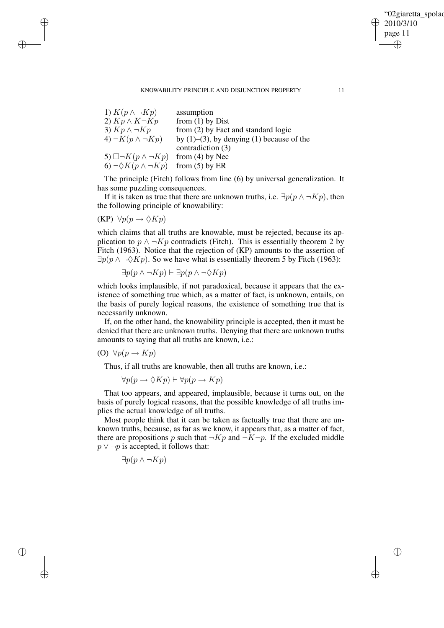# "02giaretta spolao 2010/3/10 page 11 ✐ ✐

✐

✐

#### KNOWABILITY PRINCIPLE AND DISJUNCTION PROPERTY 11

| 1) $K(p \wedge \neg Kp)$              | assumption                                         |
|---------------------------------------|----------------------------------------------------|
| 2) $Kp \wedge K\neg Kp$               | from $(1)$ by Dist                                 |
| 3) $Kp \wedge \neg Kp$                | from (2) by Fact and standard logic                |
| 4) $\neg K(p \wedge \neg Kp)$         | by $(1)$ – $(3)$ , by denying $(1)$ because of the |
|                                       | contradiction (3)                                  |
| 5) $\Box\neg K(p \land \neg Kp)$      | from $(4)$ by Nec                                  |
| 6) $\neg \Diamond K(p \land \neg Kp)$ | from $(5)$ by ER                                   |

The principle (Fitch) follows from line (6) by universal generalization. It has some puzzling consequences.

If it is taken as true that there are unknown truths, i.e.  $\exists p(p \land \neg Kp)$ , then the following principle of knowability:

 $(KP) \ \forall p(p \rightarrow \Diamond Kp)$ 

✐

✐

✐

✐

which claims that all truths are knowable, must be rejected, because its application to  $p \wedge \neg Kp$  contradicts (Fitch). This is essentially theorem 2 by Fitch (1963). Notice that the rejection of (KP) amounts to the assertion of  $\exists p(p \land \neg \Diamond Kp)$ . So we have what is essentially theorem 5 by Fitch (1963):

$$
\exists p(p \land \neg Kp) \vdash \exists p(p \land \neg \Diamond Kp)
$$

which looks implausible, if not paradoxical, because it appears that the existence of something true which, as a matter of fact, is unknown, entails, on the basis of purely logical reasons, the existence of something true that is necessarily unknown.

If, on the other hand, the knowability principle is accepted, then it must be denied that there are unknown truths. Denying that there are unknown truths amounts to saying that all truths are known, i.e.:

$$
(O) \ \forall p(p \to Kp)
$$

Thus, if all truths are knowable, then all truths are known, i.e.:

$$
\forall p(p \to \Diamond Kp) \vdash \forall p(p \to Kp)
$$

That too appears, and appeared, implausible, because it turns out, on the basis of purely logical reasons, that the possible knowledge of all truths implies the actual knowledge of all truths.

Most people think that it can be taken as factually true that there are unknown truths, because, as far as we know, it appears that, as a matter of fact, there are propositions p such that  $\neg Kp$  and  $\neg K\neg p$ . If the excluded middle  $p \vee \neg p$  is accepted, it follows that:

$$
\exists p(p \land \neg Kp)
$$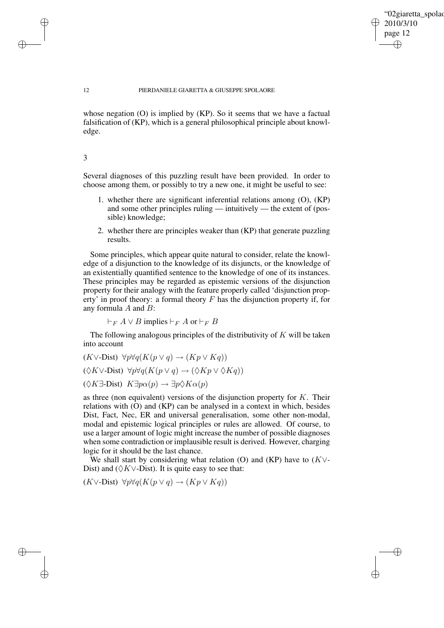✐

#### 12 PIERDANIELE GIARETTA & GIUSEPPE SPOLAORE

whose negation (O) is implied by (KP). So it seems that we have a factual falsification of (KP), which is a general philosophical principle about knowledge.

# 3

✐

✐

✐

✐

Several diagnoses of this puzzling result have been provided. In order to choose among them, or possibly to try a new one, it might be useful to see:

- 1. whether there are significant inferential relations among (O), (KP) and some other principles ruling — intuitively — the extent of (possible) knowledge;
- 2. whether there are principles weaker than (KP) that generate puzzling results.

Some principles, which appear quite natural to consider, relate the knowledge of a disjunction to the knowledge of its disjuncts, or the knowledge of an existentially quantified sentence to the knowledge of one of its instances. These principles may be regarded as epistemic versions of the disjunction property for their analogy with the feature properly called 'disjunction property' in proof theory: a formal theory  $F$  has the disjunction property if, for any formula A and B:

 $\vdash_F A \vee B$  implies  $\vdash_F A$  or  $\vdash_F B$ 

The following analogous principles of the distributivity of  $K$  will be taken into account

$$
(K \vee \text{-Dist}) \forall p \forall q (K(p \vee q) \to (Kp \vee Kq))
$$
  

$$
(\Diamond K \vee \text{-Dist}) \forall p \forall q (K(p \vee q) \to (\Diamond Kp \vee \Diamond Kq))
$$
  

$$
(\Diamond K \exists \text{-Dist}) \ K \exists p \alpha(p) \to \exists p \Diamond K \alpha(p)
$$

as three (non equivalent) versions of the disjunction property for  $K$ . Their relations with (O) and (KP) can be analysed in a context in which, besides Dist, Fact, Nec, ER and universal generalisation, some other non-modal, modal and epistemic logical principles or rules are allowed. Of course, to use a larger amount of logic might increase the number of possible diagnoses when some contradiction or implausible result is derived. However, charging logic for it should be the last chance.

We shall start by considering what relation (O) and (KP) have to  $(K \vee$ -Dist) and ( $\Diamond$ K∨-Dist). It is quite easy to see that:

 $(K\vee\text{-Dist}) \ \forall p\forall q(K(p\vee q) \rightarrow (Kp\vee Kq))$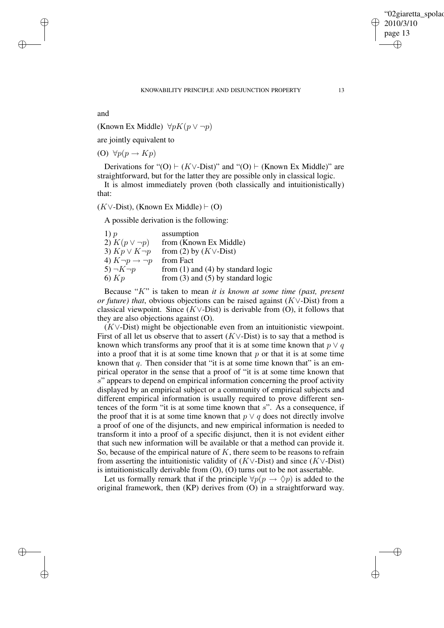✐

and

✐

✐

✐

✐

(Known Ex Middle)  $\forall p K(p \lor \neg p)$ 

are jointly equivalent to

(O)  $\forall p(p \rightarrow Kp)$ 

Derivations for "(O)  $\vdash$  (K∨-Dist)" and "(O)  $\vdash$  (Known Ex Middle)" are straightforward, but for the latter they are possible only in classical logic.

It is almost immediately proven (both classically and intuitionistically) that:

 $(K \vee$ -Dist), (Known Ex Middle)  $\vdash$  (O)

A possible derivation is the following:

| 1)p                             | assumption                             |
|---------------------------------|----------------------------------------|
| 2) $K(p \vee \neg p)$           | from (Known Ex Middle)                 |
| 3) $Kp \vee K\neg p$            | from (2) by $(K \vee$ -Dist)           |
| 4) $K\neg p \rightarrow \neg p$ | from Fact                              |
| $5) \neg K \neg p$              | from $(1)$ and $(4)$ by standard logic |
| 6) Kp                           | from $(3)$ and $(5)$ by standard logic |

Because "K" is taken to mean *it is known at some time (past, present or future) that*, obvious objections can be raised against (K∨-Dist) from a classical viewpoint. Since  $(K \vee \text{-Dist})$  is derivable from  $(O)$ , it follows that they are also objections against (O).

(K∨-Dist) might be objectionable even from an intuitionistic viewpoint. First of all let us observe that to assert  $(K \vee - Dist)$  is to say that a method is known which transforms any proof that it is at some time known that  $p \vee q$ into a proof that it is at some time known that  $p$  or that it is at some time known that  $q$ . Then consider that "it is at some time known that" is an empirical operator in the sense that a proof of "it is at some time known that s" appears to depend on empirical information concerning the proof activity displayed by an empirical subject or a community of empirical subjects and different empirical information is usually required to prove different sentences of the form "it is at some time known that  $s$ ". As a consequence, if the proof that it is at some time known that  $p \vee q$  does not directly involve a proof of one of the disjuncts, and new empirical information is needed to transform it into a proof of a specific disjunct, then it is not evident either that such new information will be available or that a method can provide it. So, because of the empirical nature of  $K$ , there seem to be reasons to refrain from asserting the intuitionistic validity of  $(K \vee - Dist)$  and since  $(K \vee - Dist)$ is intuitionistically derivable from (O), (O) turns out to be not assertable.

Let us formally remark that if the principle  $\forall p(p \rightarrow \Diamond p)$  is added to the original framework, then (KP) derives from (O) in a straightforward way.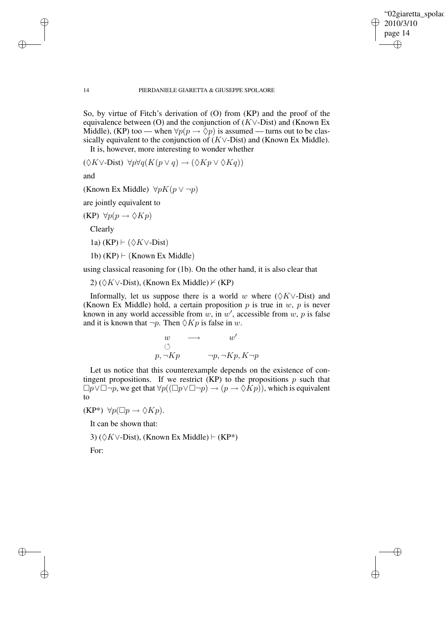✐

### 14 PIERDANIELE GIARETTA & GIUSEPPE SPOLAORE

So, by virtue of Fitch's derivation of (O) from (KP) and the proof of the equivalence between (O) and the conjunction of  $(K \vee -$ Dist) and (Known Ex Middle), (KP) too — when  $\forall p(p \rightarrow \Diamond p)$  is assumed — turns out to be classically equivalent to the conjunction of  $(K \vee -$ Dist) and (Known Ex Middle).

It is, however, more interesting to wonder whether

 $(\Diamond K \vee \text{-Dist}) \ \forall p \forall q (K(p \vee q) \rightarrow (\Diamond Kp \vee \Diamond Kq))$ 

and

(Known Ex Middle)  $\forall p K(p \lor \neg p)$ 

are jointly equivalent to

 $(KP) \forall p(p \rightarrow \Diamond Kp)$ 

Clearly

1a) (KP)  $\vdash (\Diamond K \vee \text{-Dist})$ 

1b)  $(KP) \vdash (Known Ex Middle)$ 

using classical reasoning for (1b). On the other hand, it is also clear that

2) ( $\Diamond$ K∨-Dist), (Known Ex Middle)  $\nvdash$  (KP)

Informally, let us suppose there is a world w where  $(\Diamond K \lor \text{Dist})$  and (Known Ex Middle) hold, a certain proposition  $p$  is true in  $w$ ,  $p$  is never known in any world accessible from w, in w', accessible from w, p is false and it is known that  $\neg p$ . Then  $\Diamond Kp$  is false in w.

$$
\begin{array}{ccc}\nw & \longrightarrow & w' \\
\circlearrowleft & & \neg p, \neg Kp, K \neg p\n\end{array}
$$

Let us notice that this counterexample depends on the existence of contingent propositions. If we restrict  $(KP)$  to the propositions p such that  $\Box p \lor \Box \neg p$ , we get that  $\forall p((\Box p \lor \Box \neg p) \rightarrow (p \rightarrow \Diamond \overline{K}p))$ , which is equivalent to

 $(KP^*) \ \forall p(\Box p \rightarrow \Diamond Kp).$ 

It can be shown that:

3) ( $\Diamond$ K∨-Dist), (Known Ex Middle)  $\vdash$  (KP<sup>\*</sup>)

For:

✐

✐

✐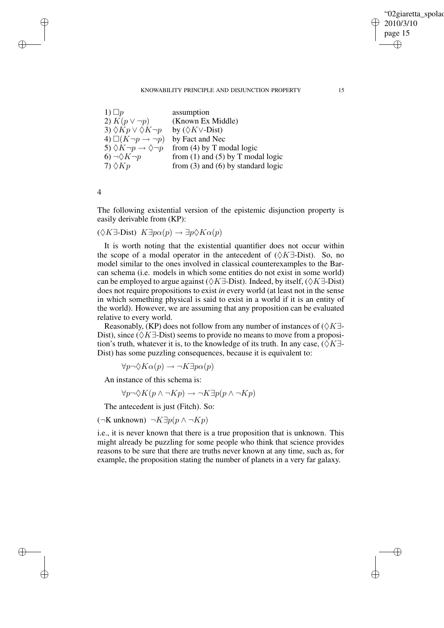# "02giaretta spolao 2010/3/10 page 15 ✐ ✐

✐

✐

### KNOWABILITY PRINCIPLE AND DISJUNCTION PROPERTY 15

| 1) $\Box p$                                        | assumption                             |
|----------------------------------------------------|----------------------------------------|
| 2) $K(p \vee \neg p)$                              | (Known Ex Middle)                      |
| 3) $\Diamond Kp \vee \Diamond K\neg p$             | by $(\Diamond K \vee$ -Dist)           |
| 4) $\Box(K \neg p \rightarrow \neg p)$             | by Fact and Nec                        |
| 5) $\Diamond K \neg p \rightarrow \Diamond \neg p$ | from $(4)$ by T modal logic            |
| $6) \neg \Diamond K \neg p$                        | from $(1)$ and $(5)$ by T modal logic  |
| $7)$ $\Diamond$ K <sub>p</sub>                     | from $(3)$ and $(6)$ by standard logic |

4

✐

✐

✐

✐

The following existential version of the epistemic disjunction property is easily derivable from (KP):

 $(\Diamond K\exists\text{-Dist}) \ K\exists p\alpha(p) \rightarrow \exists p\Diamond K\alpha(p)$ 

It is worth noting that the existential quantifier does not occur within the scope of a modal operator in the antecedent of  $(\Diamond K \exists P$ -Dist). So, no model similar to the ones involved in classical counterexamples to the Barcan schema (i.e. models in which some entities do not exist in some world) can be employed to argue against ( $\Diamond K \exists$ -Dist). Indeed, by itself, ( $\Diamond K \exists$ -Dist) does not require propositions to exist *in* every world (at least not in the sense in which something physical is said to exist in a world if it is an entity of the world). However, we are assuming that any proposition can be evaluated relative to every world.

Reasonably, (KP) does not follow from any number of instances of  $(\Diamond K\exists \cdot)$ Dist), since ( $\Diamond K \exists$ -Dist) seems to provide no means to move from a proposition's truth, whatever it is, to the knowledge of its truth. In any case,  $(\Diamond K\exists \cdot)$ Dist) has some puzzling consequences, because it is equivalent to:

 $\forall p \neg \Diamond K\alpha(p) \rightarrow \neg K \exists p \alpha(p)$ 

An instance of this schema is:

 $\forall p \neg \Diamond K(p \land \neg Kp) \rightarrow \neg K\exists p(p \land \neg Kp)$ 

The antecedent is just (Fitch). So:

(¬K unknown) ¬K∃p(p ∧ ¬Kp)

i.e., it is never known that there is a true proposition that is unknown. This might already be puzzling for some people who think that science provides reasons to be sure that there are truths never known at any time, such as, for example, the proposition stating the number of planets in a very far galaxy.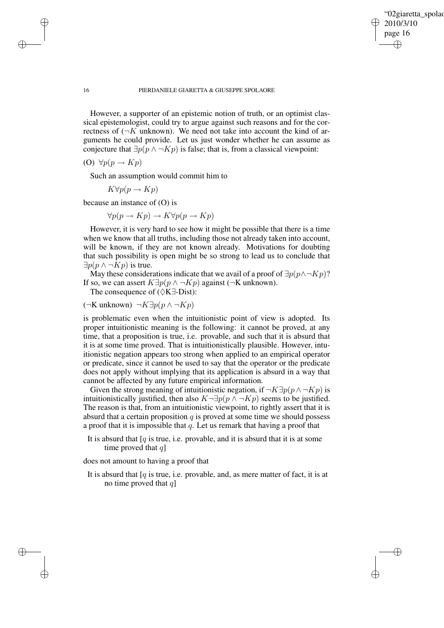✐

#### 16 PIERDANIELE GIARETTA & GIUSEPPE SPOLAORE

However, a supporter of an epistemic notion of truth, or an optimist classical epistemologist, could try to argue against such reasons and for the correctness of  $(\neg K \text{ unknown})$ . We need not take into account the kind of arguments he could provide. Let us just wonder whether he can assume as conjecture that  $\exists p(p \land \neg Kp)$  is false; that is, from a classical viewpoint:

(O)  $\forall p(p \rightarrow Kp)$ 

Such an assumption would commit him to

 $K\forall p(p \rightarrow Kp)$ 

because an instance of (O) is

 $\forall p(p \rightarrow Kp) \rightarrow K\forall p(p \rightarrow Kp)$ 

However, it is very hard to see how it might be possible that there is a time when we know that all truths, including those not already taken into account, will be known, if they are not known already. Motivations for doubting that such possibility is open might be so strong to lead us to conclude that  $\exists p(p \wedge \neg Kp)$  is true.

May these considerations indicate that we avail of a proof of  $\exists p(p \land \neg Kp)$ ? If so, we can assert  $K\exists p(p \land \neg Kp)$  against ( $\neg K$  unknown).

The consequence of ( $\Diamond K \exists$ -Dist):

(¬K unknown) ¬K∃p(p ∧ ¬Kp)

is problematic even when the intuitionistic point of view is adopted. Its proper intuitionistic meaning is the following: it cannot be proved, at any time, that a proposition is true, i.e. provable, and such that it is absurd that it is at some time proved. That is intuitionistically plausible. However, intuitionistic negation appears too strong when applied to an empirical operator or predicate, since it cannot be used to say that the operator or the predicate does not apply without implying that its application is absurd in a way that cannot be affected by any future empirical information.

Given the strong meaning of intuitionistic negation, if  $\neg K \exists p (p \land \neg Kp)$  is intuitionistically justified, then also  $K\neg \exists p(p \land \neg Kp)$  seems to be justified. The reason is that, from an intuitionistic viewpoint, to rightly assert that it is absurd that a certain proposition  $q$  is proved at some time we should possess a proof that it is impossible that  $q$ . Let us remark that having a proof that

It is absurd that  $[q]$  is true, i.e. provable, and it is absurd that it is at some time proved that  $q$ ]

does not amount to having a proof that

It is absurd that  $[q]$  is true, i.e. provable, and, as mere matter of fact, it is at no time proved that  $q$ ]

✐

✐

✐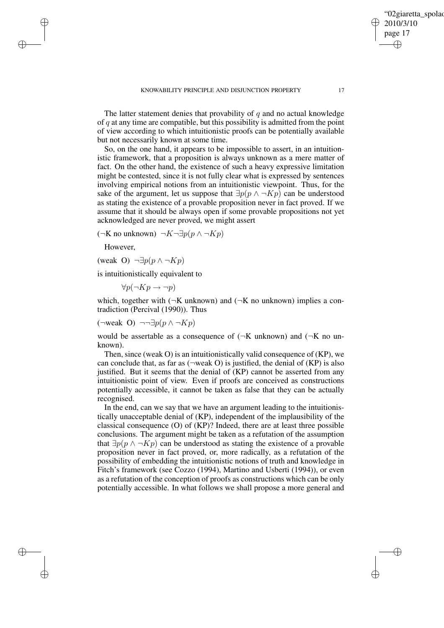The latter statement denies that provability of  $q$  and no actual knowledge of  $q$  at any time are compatible, but this possibility is admitted from the point of view according to which intuitionistic proofs can be potentially available but not necessarily known at some time.

So, on the one hand, it appears to be impossible to assert, in an intuitionistic framework, that a proposition is always unknown as a mere matter of fact. On the other hand, the existence of such a heavy expressive limitation might be contested, since it is not fully clear what is expressed by sentences involving empirical notions from an intuitionistic viewpoint. Thus, for the sake of the argument, let us suppose that  $\exists p(p \land \neg Kp)$  can be understood as stating the existence of a provable proposition never in fact proved. If we assume that it should be always open if some provable propositions not yet acknowledged are never proved, we might assert

(¬K no unknown) ¬ $K\neg \exists p(p \land \neg Kp)$ 

However,

✐

✐

✐

✐

$$
(\text{weak O}) \neg \exists p (p \land \neg Kp)
$$

is intuitionistically equivalent to

 $\forall p(\neg Kp \rightarrow \neg p)$ 

which, together with  $(\neg K \text{ unknown})$  and  $(\neg K \text{ no unknown})$  implies a contradiction (Percival (1990)). Thus

(¬weak O) ¬¬∃p(p ∧ ¬Kp)

would be assertable as a consequence of  $(\neg K \text{ unknown})$  and  $(\neg K \text{ no un-}$ known).

Then, since (weak O) is an intuitionistically valid consequence of (KP), we can conclude that, as far as  $(\neg \text{weak } O)$  is justified, the denial of  $(KP)$  is also justified. But it seems that the denial of (KP) cannot be asserted from any intuitionistic point of view. Even if proofs are conceived as constructions potentially accessible, it cannot be taken as false that they can be actually recognised.

In the end, can we say that we have an argument leading to the intuitionistically unacceptable denial of (KP), independent of the implausibility of the classical consequence (O) of (KP)? Indeed, there are at least three possible conclusions. The argument might be taken as a refutation of the assumption that  $\exists p(p \land \neg Kp)$  can be understood as stating the existence of a provable proposition never in fact proved, or, more radically, as a refutation of the possibility of embedding the intuitionistic notions of truth and knowledge in Fitch's framework (see Cozzo (1994), Martino and Usberti (1994)), or even as a refutation of the conception of proofs as constructions which can be only potentially accessible. In what follows we shall propose a more general and '02giaretta spolao

2010/3/10 page 17

✐

✐

✐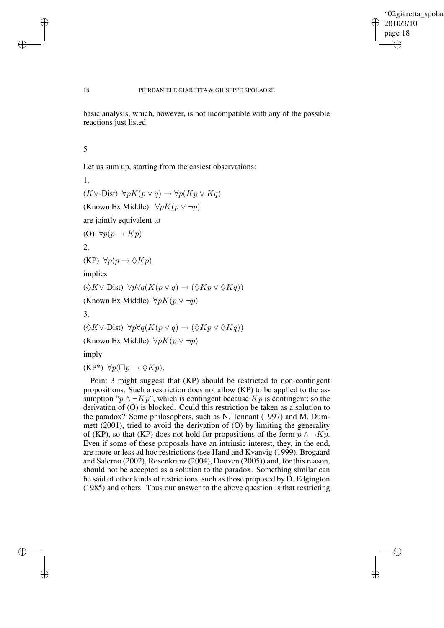✐

#### 18 PIERDANIELE GIARETTA & GIUSEPPE SPOLAORE

basic analysis, which, however, is not incompatible with any of the possible reactions just listed.

5

✐

✐

✐

✐

Let us sum up, starting from the easiest observations:

1.  $(K\vee\text{-Dist}) \ \forall pK(p\vee q) \rightarrow \forall p(Kp\vee Kq)$ (Known Ex Middle)  $\forall p K(p \lor \neg p)$ are jointly equivalent to (O)  $\forall p(p \rightarrow Kp)$ 2.  $(KP) \ \forall p(p \rightarrow \Diamond Kp)$ implies  $(\Diamond K \lor \text{Dist}) \ \forall p \forall q (K(p \lor q) \rightarrow (\Diamond K p \lor \Diamond K q))$ (Known Ex Middle)  $\forall p K(p \lor \neg p)$ 3.  $(\Diamond K \vee \text{-Dist}) \ \forall p \forall q (K(p \vee q) \rightarrow (\Diamond Kp \vee \Diamond Kq))$ (Known Ex Middle)  $\forall p K(p \lor \neg p)$ imply

 $(KP^*) \ \forall p(\Box p \rightarrow \Diamond Kp).$ 

Point 3 might suggest that (KP) should be restricted to non-contingent propositions. Such a restriction does not allow (KP) to be applied to the assumption " $p \wedge \neg Kp$ ", which is contingent because  $Kp$  is contingent; so the derivation of (O) is blocked. Could this restriction be taken as a solution to the paradox? Some philosophers, such as N. Tennant (1997) and M. Dummett (2001), tried to avoid the derivation of (O) by limiting the generality of (KP), so that (KP) does not hold for propositions of the form  $p \wedge \neg Kp$ . Even if some of these proposals have an intrinsic interest, they, in the end, are more or less ad hoc restrictions (see Hand and Kvanvig (1999), Brogaard and Salerno (2002), Rosenkranz (2004), Douven (2005)) and, for this reason, should not be accepted as a solution to the paradox. Something similar can be said of other kinds of restrictions, such as those proposed by D. Edgington (1985) and others. Thus our answer to the above question is that restricting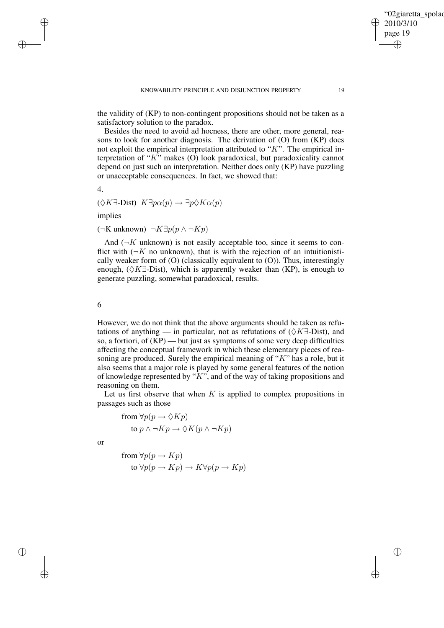the validity of (KP) to non-contingent propositions should not be taken as a satisfactory solution to the paradox.

Besides the need to avoid ad hocness, there are other, more general, reasons to look for another diagnosis. The derivation of (O) from (KP) does not exploit the empirical interpretation attributed to " $K$ ". The empirical interpretation of "K" makes (O) look paradoxical, but paradoxicality cannot depend on just such an interpretation. Neither does only (KP) have puzzling or unacceptable consequences. In fact, we showed that:

4.

✐

✐

$$
(\Diamond K \exists\text{-Dist}) \ K \exists p \alpha(p) \to \exists p \Diamond K \alpha(p)
$$

implies

 $(\neg K$  unknown)  $\neg K \exists p(p \land \neg Kp)$ 

And  $(\neg K$  unknown) is not easily acceptable too, since it seems to conflict with  $(\neg K$  no unknown), that is with the rejection of an intuitionistically weaker form of (O) (classically equivalent to (O)). Thus, interestingly enough,  $(\Diamond K\exists\text{-Dist})$ , which is apparently weaker than (KP), is enough to generate puzzling, somewhat paradoxical, results.

### 6

However, we do not think that the above arguments should be taken as refutations of anything — in particular, not as refutations of  $(\Diamond K \exists$ -Dist), and so, a fortiori, of  $(KP)$  — but just as symptoms of some very deep difficulties affecting the conceptual framework in which these elementary pieces of reasoning are produced. Surely the empirical meaning of " $K$ " has a role, but it also seems that a major role is played by some general features of the notion of knowledge represented by " $K$ ", and of the way of taking propositions and reasoning on them.

Let us first observe that when  $K$  is applied to complex propositions in passages such as those

from  $\forall p(p \rightarrow \Diamond Kp)$ to  $p \land \neg Kp \rightarrow \Diamond K(p \land \neg Kp)$ 

or

✐

✐

from  $\forall p(p \rightarrow Kp)$ to  $\forall p(p \rightarrow Kp) \rightarrow K\forall p(p \rightarrow Kp)$ 

"02giaretta spolao

2010/3/10 page 19

✐

✐

✐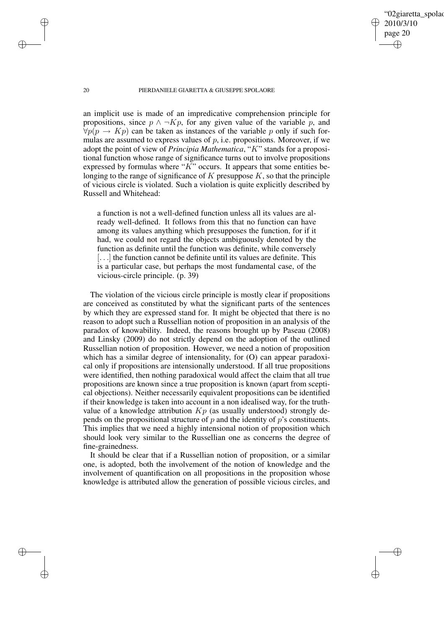✐

### 20 PIERDANIELE GIARETTA & GIUSEPPE SPOLAORE

an implicit use is made of an impredicative comprehension principle for propositions, since  $p \wedge \neg Kp$ , for any given value of the variable p, and  $\forall p(p \rightarrow Kp)$  can be taken as instances of the variable p only if such formulas are assumed to express values of  $p$ , i.e. propositions. Moreover, if we adopt the point of view of *Principia Mathematica*, "K" stands for a propositional function whose range of significance turns out to involve propositions expressed by formulas where " $K$ " occurs. It appears that some entities belonging to the range of significance of  $K$  presuppose  $K$ , so that the principle of vicious circle is violated. Such a violation is quite explicitly described by Russell and Whitehead:

a function is not a well-defined function unless all its values are already well-defined. It follows from this that no function can have among its values anything which presupposes the function, for if it had, we could not regard the objects ambiguously denoted by the function as definite until the function was definite, while conversely [...] the function cannot be definite until its values are definite. This is a particular case, but perhaps the most fundamental case, of the vicious-circle principle. (p. 39)

The violation of the vicious circle principle is mostly clear if propositions are conceived as constituted by what the significant parts of the sentences by which they are expressed stand for. It might be objected that there is no reason to adopt such a Russellian notion of proposition in an analysis of the paradox of knowability. Indeed, the reasons brought up by Paseau (2008) and Linsky (2009) do not strictly depend on the adoption of the outlined Russellian notion of proposition. However, we need a notion of proposition which has a similar degree of intensionality, for (O) can appear paradoxical only if propositions are intensionally understood. If all true propositions were identified, then nothing paradoxical would affect the claim that all true propositions are known since a true proposition is known (apart from sceptical objections). Neither necessarily equivalent propositions can be identified if their knowledge is taken into account in a non idealised way, for the truthvalue of a knowledge attribution  $Kp$  (as usually understood) strongly depends on the propositional structure of  $p$  and the identity of  $p$ 's constituents. This implies that we need a highly intensional notion of proposition which should look very similar to the Russellian one as concerns the degree of fine-grainedness.

It should be clear that if a Russellian notion of proposition, or a similar one, is adopted, both the involvement of the notion of knowledge and the involvement of quantification on all propositions in the proposition whose knowledge is attributed allow the generation of possible vicious circles, and

✐

✐

✐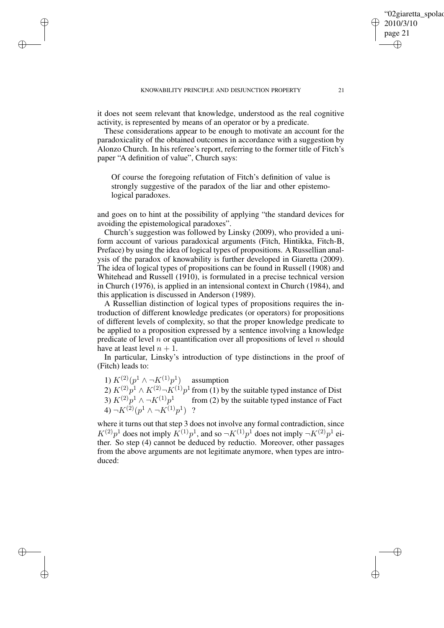✐

✐

✐

it does not seem relevant that knowledge, understood as the real cognitive activity, is represented by means of an operator or by a predicate.

These considerations appear to be enough to motivate an account for the paradoxicality of the obtained outcomes in accordance with a suggestion by Alonzo Church. In his referee's report, referring to the former title of Fitch's paper "A definition of value", Church says:

Of course the foregoing refutation of Fitch's definition of value is strongly suggestive of the paradox of the liar and other epistemological paradoxes.

and goes on to hint at the possibility of applying "the standard devices for avoiding the epistemological paradoxes".

Church's suggestion was followed by Linsky (2009), who provided a uniform account of various paradoxical arguments (Fitch, Hintikka, Fitch-B, Preface) by using the idea of logical types of propositions. A Russellian analysis of the paradox of knowability is further developed in Giaretta (2009). The idea of logical types of propositions can be found in Russell (1908) and Whitehead and Russell (1910), is formulated in a precise technical version in Church (1976), is applied in an intensional context in Church (1984), and this application is discussed in Anderson (1989).

A Russellian distinction of logical types of propositions requires the introduction of different knowledge predicates (or operators) for propositions of different levels of complexity, so that the proper knowledge predicate to be applied to a proposition expressed by a sentence involving a knowledge predicate of level  $n$  or quantification over all propositions of level  $n$  should have at least level  $n + 1$ .

In particular, Linsky's introduction of type distinctions in the proof of (Fitch) leads to:

1)  $K^{(2)}(p^1 \wedge \neg K^{(1)}p^1)$  assumption

2)  $K^{(2)}p^1 \wedge K^{(2)} \neg K^{(1)}p^1$  from (1) by the suitable typed instance of Dist 3)  $K^{(2)}p^1 \wedge \neg K^{(1)}p^1$  from (2) by the suitable typed instance of Fact 4)  $\neg K^{(2)}(p^1 \wedge \neg K^{(1)}p^1)$  ?

where it turns out that step 3 does not involve any formal contradiction, since  $K^{(2)}p^1$  does not imply  $K^{(1)}p^1$ , and so  $\neg K^{(1)}p^1$  does not imply  $\neg K^{(2)}p^1$  either. So step (4) cannot be deduced by reductio. Moreover, other passages from the above arguments are not legitimate anymore, when types are introduced:

'02giaretta spolao

2010/3/10 page 21

✐

✐

✐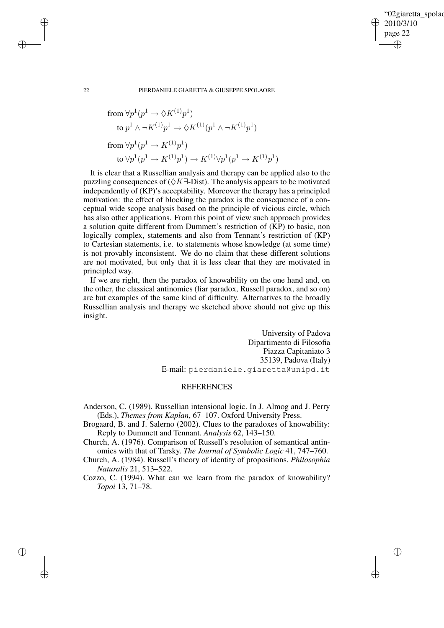✐

### 22 PIERDANIELE GIARETTA & GIUSEPPE SPOLAORE

from 
$$
\forall p^1(p^1 \rightarrow \Diamond K^{(1)}p^1)
$$
  
\nto  $p^1 \land \neg K^{(1)}p^1 \rightarrow \Diamond K^{(1)}(p^1 \land \neg K^{(1)}p^1)$   
\nfrom  $\forall p^1(p^1 \rightarrow K^{(1)}p^1)$   
\nto  $\forall p^1(p^1 \rightarrow K^{(1)}p^1) \rightarrow K^{(1)}\forall p^1(p^1 \rightarrow K^{(1)}p^1)$ 

It is clear that a Russellian analysis and therapy can be applied also to the puzzling consequences of ( $\Diamond K \exists$ -Dist). The analysis appears to be motivated independently of (KP)'s acceptability. Moreover the therapy has a principled motivation: the effect of blocking the paradox is the consequence of a conceptual wide scope analysis based on the principle of vicious circle, which has also other applications. From this point of view such approach provides a solution quite different from Dummett's restriction of (KP) to basic, non logically complex, statements and also from Tennant's restriction of (KP) to Cartesian statements, i.e. to statements whose knowledge (at some time) is not provably inconsistent. We do no claim that these different solutions are not motivated, but only that it is less clear that they are motivated in principled way.

If we are right, then the paradox of knowability on the one hand and, on the other, the classical antinomies (liar paradox, Russell paradox, and so on) are but examples of the same kind of difficulty. Alternatives to the broadly Russellian analysis and therapy we sketched above should not give up this insight.

> University of Padova Dipartimento di Filosofia Piazza Capitaniato 3 35139, Padova (Italy) E-mail: pierdaniele.giaretta@unipd.it

# **REFERENCES**

Anderson, C. (1989). Russellian intensional logic. In J. Almog and J. Perry (Eds.), *Themes from Kaplan*, 67–107. Oxford University Press.

Brogaard, B. and J. Salerno (2002). Clues to the paradoxes of knowability: Reply to Dummett and Tennant. *Analysis* 62, 143–150.

Church, A. (1976). Comparison of Russell's resolution of semantical antinomies with that of Tarsky. *The Journal of Symbolic Logic* 41, 747–760.

Church, A. (1984). Russell's theory of identity of propositions. *Philosophia Naturalis* 21, 513–522.

Cozzo, C. (1994). What can we learn from the paradox of knowability? *Topoi* 13, 71–78.

✐

✐

✐